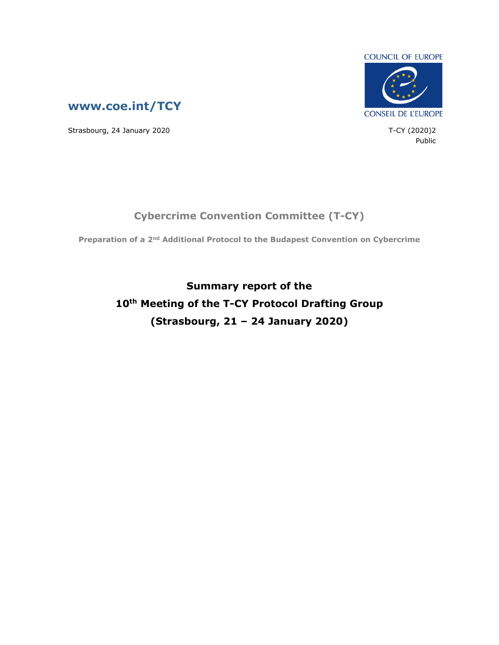

Public



Strasbourg, 24 January 2020 **T-CY** (2020)2

**Preparation of a 2nd Additional Protocol to the Budapest Convention on Cybercrime**

**Cybercrime Convention Committee (T-CY)**

**Summary report of the 10th Meeting of the T-CY Protocol Drafting Group (Strasbourg, 21 – 24 January 2020)**